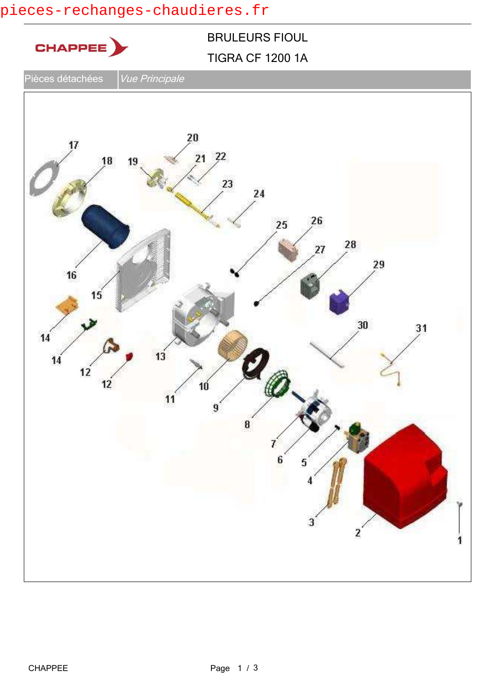## pieces-rechanges-chaudieres.fr

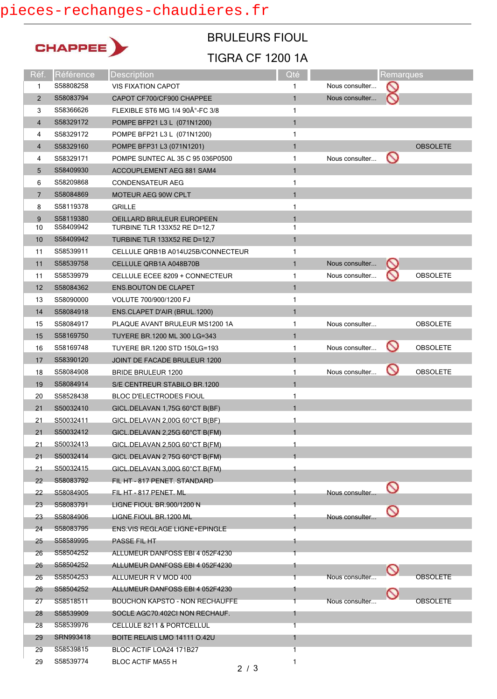## pieces-rechanges-chaudieres.fr



## TIGRA CF 1200 1A BRULEURS FIOUL

| Réf.                     | Référence | <b>Description</b>                    | Qté          |                | <b>Remarques</b> |                 |
|--------------------------|-----------|---------------------------------------|--------------|----------------|------------------|-----------------|
| 1                        | S58808258 | <b>VIS FIXATION CAPOT</b>             | 1            | Nous consulter | $\sim$           |                 |
| $\overline{2}$           | S58083794 | CAPOT CF700/CF900 CHAPPEE             | $\mathbf{1}$ | Nous consulter |                  |                 |
| 3                        | S58366626 | FLEXIBLE ST6 MG 1/4 90°-FC 3/8        | 1            |                |                  |                 |
| $\overline{\mathcal{A}}$ | S58329172 | POMPE BFP21 L3 L (071N1200)           | 1            |                |                  |                 |
| 4                        | S58329172 | POMPE BFP21 L3 L (071N1200)           | 1            |                |                  |                 |
| 4                        | S58329160 | POMPE BFP31 L3 (071N1201)             | $\mathbf{1}$ |                |                  | <b>OBSOLETE</b> |
| 4                        | S58329171 | POMPE SUNTEC AL 35 C 95 036P0500      | 1            | Nous consulter | $\mathcal O$     |                 |
| 5                        | S58409930 | ACCOUPLEMENT AEG 881 SAM4             | $\mathbf{1}$ |                |                  |                 |
| 6                        | S58209868 | <b>CONDENSATEUR AEG</b>               | 1            |                |                  |                 |
| $\overline{7}$           | S58084869 | MOTEUR AEG 90W CPLT                   | 1            |                |                  |                 |
| 8                        | S58119378 | <b>GRILLE</b>                         | 1            |                |                  |                 |
| 9                        | S58119380 | OEILLARD BRULEUR EUROPEEN             |              |                |                  |                 |
| 10                       | S58409942 | TURBINE TLR 133X52 RE D=12,7          | 1            |                |                  |                 |
| 10                       | S58409942 | TURBINE TLR 133X52 RE D=12,7          | $\mathbf{1}$ |                |                  |                 |
| 11                       | S58539911 | CELLULE QRB1B A014U25B/CONNECTEUR     | 1            |                |                  |                 |
| 11                       | S58539758 | CELLULE QRB1A A048B70B                | $\mathbf{1}$ | Nous consulter |                  |                 |
| 11                       | S58539979 | CELLULE ECEE 8209 + CONNECTEUR        | 1            | Nous consulter |                  | <b>OBSOLETE</b> |
| 12                       | S58084362 | <b>ENS.BOUTON DE CLAPET</b>           | $\mathbf{1}$ |                |                  |                 |
| 13                       | S58090000 | VOLUTE 700/900/1200 FJ                | 1            |                |                  |                 |
| 14                       | S58084918 | ENS.CLAPET D'AIR (BRUL.1200)          | $\mathbf{1}$ |                |                  |                 |
| 15                       | S58084917 | PLAQUE AVANT BRULEUR MS1200 1A        | 1            | Nous consulter |                  | OBSOLETE        |
| 15                       | S58169750 | TUYERE BR.1200 ML 300 LG=343          | $\mathbf{1}$ |                |                  |                 |
| 16                       | S58169748 | TUYERE BR.1200 STD 150LG=193          | 1            | Nous consulter |                  | <b>OBSOLETE</b> |
| 17                       | S58390120 | JOINT DE FACADE BRULEUR 1200          | 1            |                |                  |                 |
| 18                       | S58084908 | BRIDE BRULEUR 1200                    | 1            | Nous consulter |                  | <b>OBSOLETE</b> |
| 19                       | S58084914 | S/E CENTREUR STABILO BR.1200          |              |                |                  |                 |
| 20                       | S58528438 | <b>BLOC D'ELECTRODES FIOUL</b>        | 1            |                |                  |                 |
| 21                       | S50032410 | GICL.DELAVAN 1,75G 60°CT B(BF)        |              |                |                  |                 |
| 21                       | S50032411 | GICL.DELAVAN 2,00G 60°CT B(BF)        | 1            |                |                  |                 |
| 21                       | S50032412 | GICL.DELAVAN 2,25G 60°CT B(FM)        |              |                |                  |                 |
| 21                       | S50032413 | GICL.DELAVAN 2,50G 60°CT B(FM)        |              |                |                  |                 |
| 21                       | S50032414 | GICL.DELAVAN 2,75G 60°CT B(FM)        |              |                |                  |                 |
| 21                       | S50032415 | GICL.DELAVAN 3,00G 60°CT B(FM)        |              |                |                  |                 |
| 22                       | S58083792 | FIL HT - 817 PENET. STANDARD          |              |                | $\circ$          |                 |
| 22                       | S58084905 | FIL HT - 817 PENET. ML                |              | Nous consulter |                  |                 |
| 23                       | S58083791 | LIGNE FIOUL BR.900/1200 N             |              |                |                  |                 |
| 23                       | S58084906 | LIGNE FIOUL BR.1200 ML                |              | Nous consulter |                  |                 |
| 24                       | S58083795 | <b>ENS.VIS REGLAGE LIGNE+EPINGLE</b>  |              |                |                  |                 |
| 25                       | S58589995 | PASSE FIL HT                          |              |                |                  |                 |
| 26                       | S58504252 | ALLUMEUR DANFOSS EBI 4 052F4230       |              |                |                  |                 |
| 26                       | S58504252 | ALLUMEUR DANFOSS EBI 4 052F4230       |              |                |                  |                 |
| 26                       | S58504253 | ALLUMEUR R V MOD 400                  |              | Nous consulter |                  | <b>OBSOLETE</b> |
| 26                       | S58504252 | ALLUMEUR DANFOSS EBI 4 052F4230       |              |                |                  |                 |
| 27                       | S58518511 | <b>BOUCHON KAPSTO - NON RECHAUFFE</b> |              | Nous consulter |                  | <b>OBSOLETE</b> |
| 28                       | S58539909 | SOCLE AGC70.402CI NON RECHAUF.        |              |                |                  |                 |
| 28                       | S58539976 | <b>CELLULE 8211 &amp; PORTCELLUL</b>  | 1            |                |                  |                 |
| 29                       | SRN993418 | BOITE RELAIS LMO 14111 0.42U          | 1            |                |                  |                 |
| 29                       | S58539815 | BLOC ACTIF LOA24 171B27               | 1            |                |                  |                 |
| 29                       | S58539774 | <b>BLOC ACTIF MA55 H</b>              | 1            |                |                  |                 |